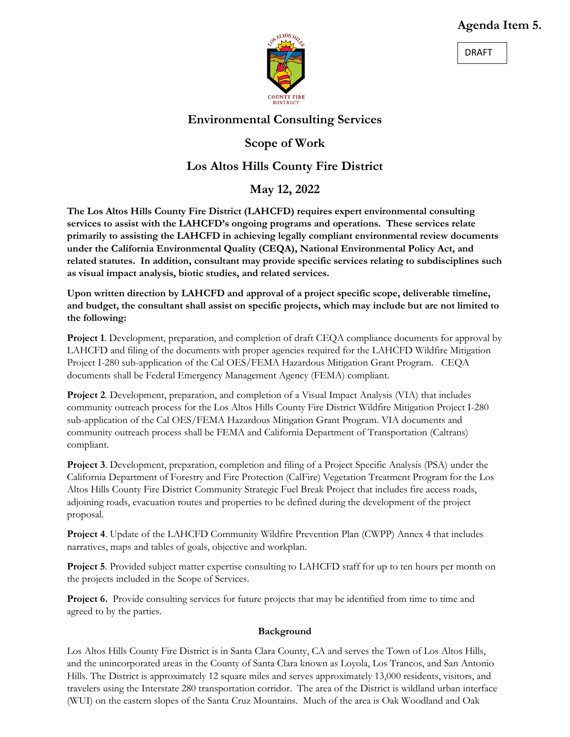## **Agenda Item 5.**





# **Environmental Consulting Services**

# **Scope of Work**

# **Los Altos Hills County Fire District**

**May 12, 2022**

**The Los Altos Hills County Fire District (LAHCFD) requires expert environmental consulting services to assist with the LAHCFD's ongoing programs and operations. These services relate primarily to assisting the LAHCFD in achieving legally compliant environmental review documents under the California Environmental Quality (CEQA), National Environmental Policy Act, and related statutes. In addition, consultant may provide specific services relating to subdisciplines such as visual impact analysis, biotic studies, and related services.**

**Upon written direction by LAHCFD and approval of a project specific scope, deliverable timeline, and budget, the consultant shall assist on specific projects, which may include but are not limited to the following:**

**Project 1**. Development, preparation, and completion of draft CEQA compliance documents for approval by LAHCFD and filing of the documents with proper agencies required for the LAHCFD Wildfire Mitigation Project I-280 sub-application of the Cal OES/FEMA Hazardous Mitigation Grant Program. CEQA documents shall be Federal Emergency Management Agency (FEMA) compliant.

**Project 2.** Development, preparation, and completion of a Visual Impact Analysis (VIA) that includes community outreach process for the Los Altos Hills County Fire District Wildfire Mitigation Project I-280 sub-application of the Cal OES/FEMA Hazardous Mitigation Grant Program. VIA documents and community outreach process shall be FEMA and California Department of Transportation (Caltrans) compliant.

**Project 3**. Development, preparation, completion and filing of a Project Specific Analysis (PSA) under the California Department of Forestry and Fire Protection (CalFire) Vegetation Treatment Program for the Los Altos Hills County Fire District Community Strategic Fuel Break Project that includes fire access roads, adjoining roads, evacuation routes and properties to be defined during the development of the project proposal.

**Project 4**. Update of the LAHCFD Community Wildfire Prevention Plan (CWPP) Annex 4 that includes narratives, maps and tables of goals, objective and workplan.

**Project 5**. Provided subject matter expertise consulting to LAHCFD staff for up to ten hours per month on the projects included in the Scope of Services.

**Project 6.** Provide consulting services for future projects that may be identified from time to time and agreed to by the parties.

## **Background**

Los Altos Hills County Fire District is in Santa Clara County, CA and serves the Town of Los Altos Hills, and the unincorporated areas in the County of Santa Clara known as Loyola, Los Trancos, and San Antonio Hills. The District is approximately 12 square miles and serves approximately 13,000 residents, visitors, and travelers using the Interstate 280 transportation corridor. The area of the District is wildland urban interface (WUI) on the eastern slopes of the Santa Cruz Mountains. Much of the area is Oak Woodland and Oak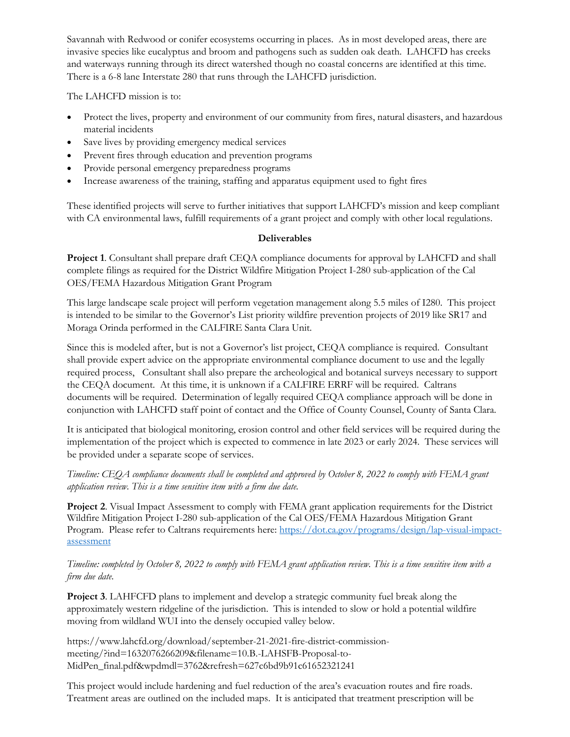Savannah with Redwood or conifer ecosystems occurring in places. As in most developed areas, there are invasive species like eucalyptus and broom and pathogens such as sudden oak death. LAHCFD has creeks and waterways running through its direct watershed though no coastal concerns are identified at this time. There is a 6-8 lane Interstate 280 that runs through the LAHCFD jurisdiction.

The LAHCFD mission is to:

- Protect the lives, property and environment of our community from fires, natural disasters, and hazardous material incidents
- Save lives by providing emergency medical services
- Prevent fires through education and prevention programs
- Provide personal emergency preparedness programs
- Increase awareness of the training, staffing and apparatus equipment used to fight fires

These identified projects will serve to further initiatives that support LAHCFD's mission and keep compliant with CA environmental laws, fulfill requirements of a grant project and comply with other local regulations.

## **Deliverables**

**Project 1**. Consultant shall prepare draft CEQA compliance documents for approval by LAHCFD and shall complete filings as required for the District Wildfire Mitigation Project I-280 sub-application of the Cal OES/FEMA Hazardous Mitigation Grant Program

This large landscape scale project will perform vegetation management along 5.5 miles of I280. This project is intended to be similar to the Governor's List priority wildfire prevention projects of 2019 like SR17 and Moraga Orinda performed in the CALFIRE Santa Clara Unit.

Since this is modeled after, but is not a Governor's list project, CEQA compliance is required. Consultant shall provide expert advice on the appropriate environmental compliance document to use and the legally required process, Consultant shall also prepare the archeological and botanical surveys necessary to support the CEQA document. At this time, it is unknown if a CALFIRE ERRF will be required. Caltrans documents will be required. Determination of legally required CEQA compliance approach will be done in conjunction with LAHCFD staff point of contact and the Office of County Counsel, County of Santa Clara.

It is anticipated that biological monitoring, erosion control and other field services will be required during the implementation of the project which is expected to commence in late 2023 or early 2024. These services will be provided under a separate scope of services.

*Timeline: CEQA compliance documents shall be completed and approved by October 8, 2022 to comply with FEMA grant application review. This is a time sensitive item with a firm due date.*

**Project 2**. Visual Impact Assessment to comply with FEMA grant application requirements for the District Wildfire Mitigation Project I-280 sub-application of the Cal OES/FEMA Hazardous Mitigation Grant Program. Please refer to Caltrans requirements here: [https://dot.ca.gov/programs/design/lap-visual-impact](https://dot.ca.gov/programs/design/lap-visual-impact-assessment)[assessment](https://dot.ca.gov/programs/design/lap-visual-impact-assessment)

#### *Timeline: completed by October 8, 2022 to comply with FEMA grant application review. This is a time sensitive item with a firm due date.*

**Project 3**. LAHFCFD plans to implement and develop a strategic community fuel break along the approximately western ridgeline of the jurisdiction. This is intended to slow or hold a potential wildfire moving from wildland WUI into the densely occupied valley below.

https://www.lahcfd.org/download/september-21-2021-fire-district-commissionmeeting/?ind=1632076266209&filename=10.B.-LAHSFB-Proposal-to-MidPen\_final.pdf&wpdmdl=3762&refresh=627c6bd9b91c61652321241

This project would include hardening and fuel reduction of the area's evacuation routes and fire roads. Treatment areas are outlined on the included maps. It is anticipated that treatment prescription will be